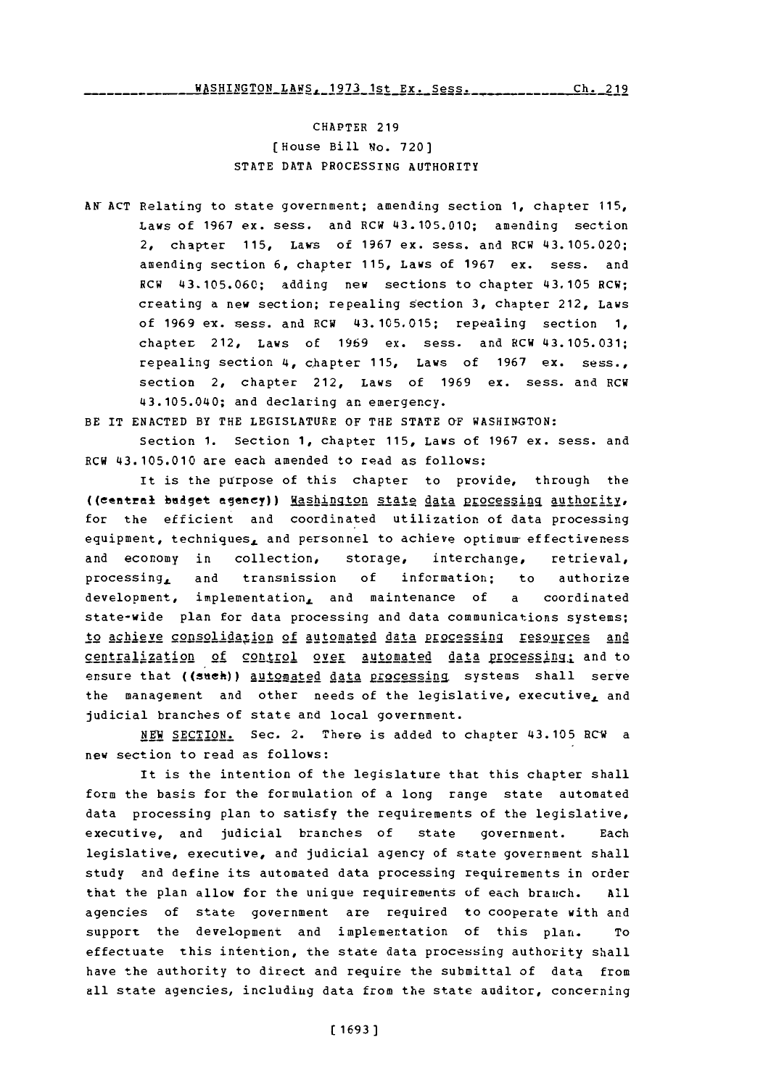CHAPTER **219** [House Bill No. **720) STATE DATA** PROCESSING AUTHORITY

**AN- ACT** Relating to state government; amending section **1,** chapter **115,** Laws **of 1967** ex. sess. and RCW 43.105.010; amending section 2, chapter **115, Laws of 1967 ex. sess. and RCW 43.105.020;** amending section **6,** chapter **115,** Laws of **1967** ex. sess. and RCW **43.105.060;** adding new sections to chapter 43.105 RCW; creating a new section; repealing section **3,** chapter 212, Laws of **1969** ex. sess. and RCW **43.105.015;** repealing section **1,** chapter 212, Laws of **1969** ex. sess. and RCW 43.105. 031; repealing section 4, chapter **115,** Laws of **1967** ex. sess., section 2, chapter 212, Laws of **1969** ex. sess. and RCW 43.105.040; and declaring an emergency.

BE IT ENACTED BY THE LEGISLATURE OF THE STATE OF WASHINGTON:

Section 1. Section 1, chapter 115, Laws of 1967 ex. sess. and RCW 43.105.010 are each amended to read as follows:

It is the purpose of this chapter to provide, through the ((central budget agency)) <u>Washington state data processing authority</u>, for the efficient and coordinated utilization of data processing equipment, techniques, and personnel to achieve optimum effectiveness and economy in collection, storage, interchange, retrieval, processing, and transmission **of** information; to authorize development, implementation, and maintenance of a coordinated state-wide plan for data processing and data communications systems; to achieve consolidation of automated data Processingq resoures2 **anid** centralization of control over automated data processing; and to ensure that ((such)) automated data processing systems shall serve the management and other needs of the legislative, executive, and judicial branches of state and local government.

**NEW SECTION.** Sec. 2. There is added to chapter 43.105 BC'W a new section to read as follows:

It is the intention of the legislature that this chapter shall form the basis for the formulation of a long range state automated data processing plan to satisfy the requirements of the legislative, executive, and judicial branches of state government. Each legislative, executive, and judicial agency of state government shall study and define its automated data processing requirements in order that the plan allow for the unique requirements **of** each branch. **All** agencies of state government are required to cooperate with and support the development and implementation of this plan. To effectuate this intention, the state data processing authority shall have the authority to direct and require the submittal of data from all state agencies, including data from the state auditor, concerning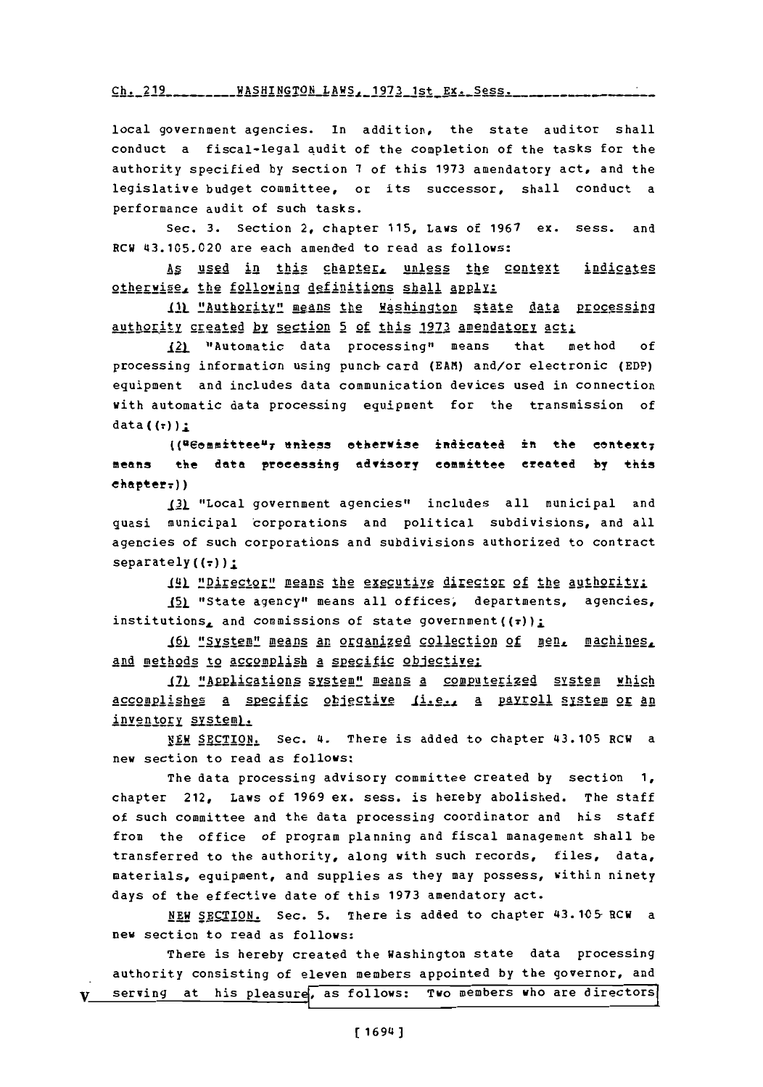Ch. 219 \_\_\_\_\_\_\_\_ WASHINGTON LAWS, 1973 1st **Ex.** Sess.

local government agencies. In addition, the state auditor shall conduct a fiscal-legal audit of the completion of the tasks for the authority specified **by** section **7** of this **1973** amendatory act, and the legislative budget committee, or its successor, shall conduct a performance audit of such tasks.

Sec. **3.** Section 2, chapter **115,** Laws of **1967** ex. sess. and RCW 43.105.020 are each amended to read as follows:

As used in this chapter, unless the context indicates 2oherwise the followig definitions gall **aply:**

111 "Authority" means the Washington state data processing authority geagg y section 5 **of** this **1973** amendatory act:

121 "Automatic data processing" means that method **of** processing information using punch card **(EAM)** and/or electronic **(EDP)** equipment and includes data communication devices used in connection with automatic data processing equipment for the transmission of  $data((\tau))$ :

 $($ ("Committee"; unless otherwise indicated in the context; means the data proeessing advisery eemittee ereated **by** this  $eh$ apter<sub>r</sub>))

**I21** "Local government agencies" includes all municipal and quasi municipal corporations and political subdivisions, and all agencies of such corporations and subdivisions authorized to contract  $separately ((\tau))$ :

**JAj** "Director" means the executive director of the authority:

151 "State agency" means all offices, departments, agencies, institutions, and commissions of state government ((r));

161 "System" means an organized collection of men, machines, and methods to accomplish a specific objective:

171 "Applications system" means a computerized system which 2c92om1ishes a s2 ecfic obiective Ii.e., a paygoll system or **An** inventory system).

NEW SECTION. Sec. 4. There is added to chapter 43.105 RCW a new section to read as follows:

The data processing advisory committee created **by** section **1,** chapter 212, Laws of **1969** ex. sess. is hereby abolished. The staff of such committee and the data processing coordinator and his staff from the office of program planning and fiscal management shall be transferred to the authority, along with such records, files, data, materials, equipment, and supplies as they may possess, within ninety days of the effective date of this **1973** amendatory act.

**NEW SEglON.** Sec. **5.** There is added to chapter 43.1C5- RCW a new section to read as follows:

There is hereby created the Washington state data processing authority consisting of eleven members appointed **by** the governor, and V serving at his pleasure, as follows: Two members who are directors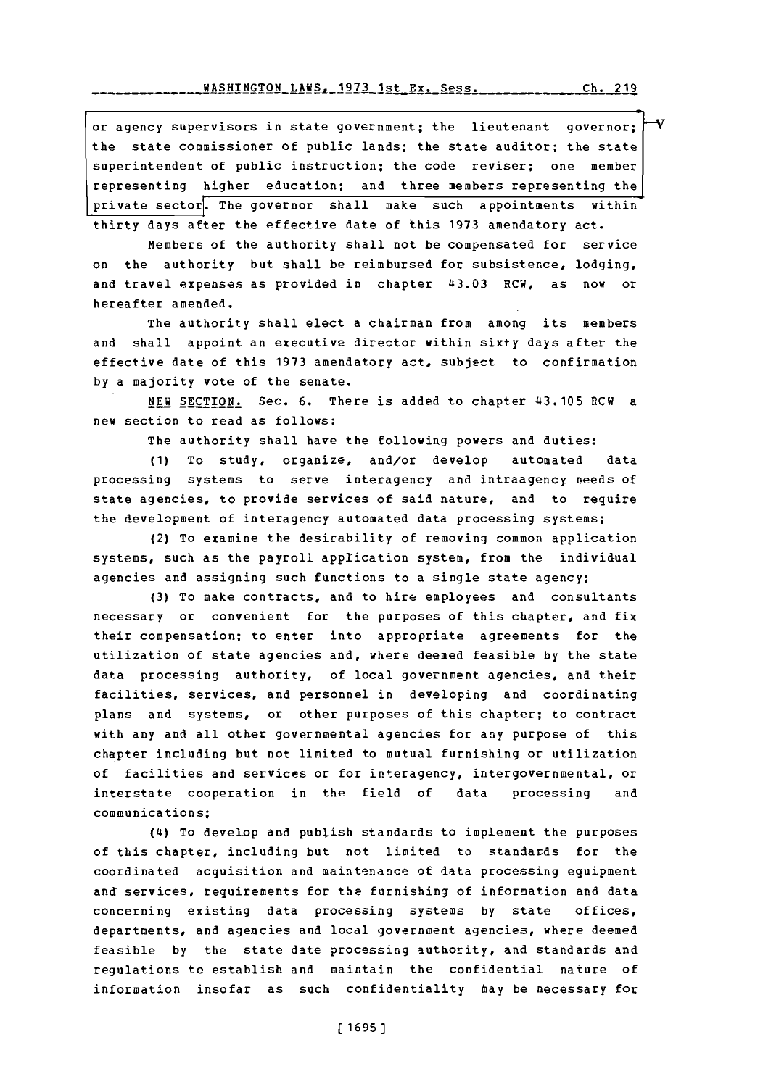or agency supervisors in state government; the lieutenant governor; the state commissioner of public lands; the state auditor; the state superintendent of public instruction; the code reviser; one member representing higher education; and three members representing the private sector. The governor shall make such appointments within thirty days after the effective date of this **1973** amendatory act.

Members of the authority shall not be compensated for service on the authority but shall be reimbursed for subsistence, lodging, and travel expenses as provided in chapter 43.03 RCW, as now or hereafter amended.

The authority shall elect a chairman from among its members and shall appoint an executive director within sixty days after the effective date of this **1973** amendatory act, subject to confirmation **by** a majority vote of the senate.

NEW SECTION. Sec. 6. There is added to chapter 43.105 RCW a new section to read as follows:

The authority shall have the following powers and duties:

**(1)** To study, organize, and/or develop automated data processing systems to serve interagency and intraagency needs of state agencies, to provide services of said nature, and to require the development of interagency automated data processing systems;

(2) To examine the desirability of removing common application systems, such as the payroll application system, from the individual agencies and assigning such functions to a single state agency;

**(3)** To make contracts, and to hire employees and consultants necessary or convenient for the purposes of this chapter, and fix their compensation; to enter into appropriate agreements for the utilization of state agencies and, where deemed feasible **by** the state data processing authority, of local government agencies, and their facilities, services, and personnel in developing and coordinating plans and systems, or other purposes of this chapter; to contract with any and all other governmental agencies for any purpose of this chapter including but not limited to mutual furnishing or utilization of facilities and services or for interagency, intergovernmental, or interstate cooperation in the field of data processing and communications;

(4) To develop and publish standards to implement the purposes of this chapter, including but not limited to standards for the coordinated acquisition and maintenance of data processing equipment and services, requirements for the furnishing of information and data concerning existing data processing systems **by** state offices, departments, and agencies and local government agencies, where deemed feasible **by** the state date processing authority, and standards and regulations to establish and maintain the confidential nature of information insofar as such confidentiality may be necessary for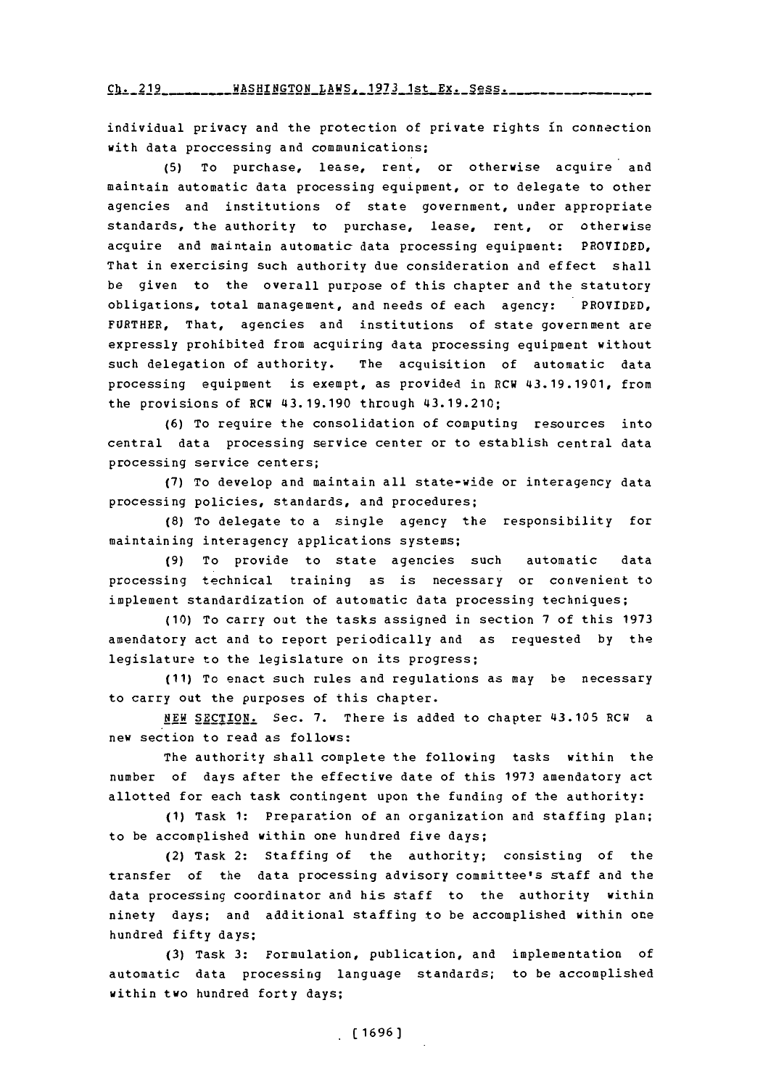Ch. 219 WASHINGTON LAWS, 1973 1st Ex. Sess.

individual privacy and the protection of private rights in connection with data proccessing and communications;

**(5)** To purchase, lease, rent, or otherwise acquire and maintain automatic data processing equipment, or to delegate to other agencies and institutions of state government, under appropriate standards, the authority to purchase, lease, rent, or otherwise acquire and maintain automatic data processing equipment: PROVIDED, That in exercising such authority due consideration and effect shall be given to the overall purpose of this chapter and the statutory obligations, total management, and needs of each agency: PROVIDED, FURTHER, That, agencies and institutions of state government are expressly prohibited from acquiring data processing equipment without such delegation of authority. The acquisition of automatic data processing equipment is exempt, as provided in RCW 43.19.1901, from the provisions of RCW 43.19.190 through 43.19.210;

**(6)** To require the consolidation of computing resources into central data processing service center or to establish central data processing service centers;

**(7)** To develop and maintain all state-wide or interagency data processing policies, standards, and procedures;

**(8)** To delegate to a single agency the responsibility for maintaining interagency applications systems;

**(9)** To provide to state agencies such automatic data processing technical training as is necessary or convenient to implement standardization of automatic data processing techniques;

**(10)** To carry out the tasks assigned in section **7** of this **<sup>1973</sup>** amendatory act and to report periodically and as requested **by** the legislature to the legislature on its progress;

**(11)** To enact such rules and regulations as may be necessary to carry out the purposes of this chapter.

**NEW** SECTION. Sec. **7.** There is added to chapter 43.105 RCW a new section to read as follows:

The authority shall complete the following tasks within the number of days after the effective date of this **1973** amendatory act allotted for each task contingent upon the funding of the authority:

**(1)** Task **1:** Preparation of an organization and staffing plan; to be accomplished within one hundred five days;

(2) Task 2: Staffing of the authority; consisting of the transfer of the data processing advisory committee's staff and the data processing coordinator and his staff to the authority within ninety days; and additional staffing to be accomplished within one hundred fifty days;

**(3)** Task **3:** Formulation, publication, and implementation of automatic data processing language standards; to be accomplished within two hundred forty days;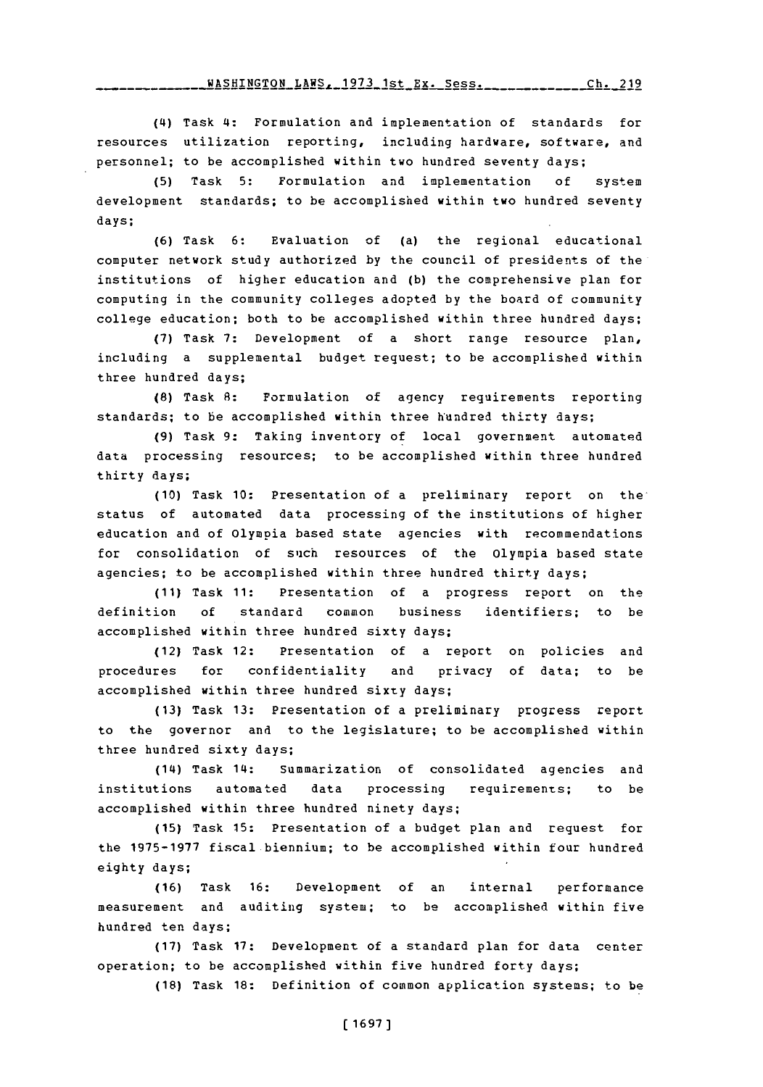fJAqF4TNr.TnN T.AW-1- **1971** 1 t **V.Y CZOQ** rh **91q**

**(4I)** Task **4:** Formulation and implementation of standards for resources utilization reporting, including hardware, software, and personnel; to be accomplished within two hundred seventy days;

**(5)** Task **5:** Formulation and implementation **of** system development standards; to be accomplished within two hundred seventy days;

**(6)** Task **6:** Evaluation of (a) the regional educational computer network study authorized **by** the council of presidents of the institutions of higher education and **(b)** the comprehensive plan for computing in the community colleges adopted **by** the board of community college education; both to be accomplished within three hundred days:

**(7)** Task **7:** Development of a short range resource plan, including a supplemental budget request; to be accomplished within three hundred days;

**(8)** Task **8:** Formulation of agency requirements reporting standards; to be accomplished within three hundred thirty days;

**(9)** Task **9:** Taking inventory of local government automated data processing resources; to be accomplished within three hundred thirty days;

**(10)** Task **10:** Presentation of a preliminary report on thestatus of automated data processing of the institutions of higher education and of Olympia based state agencies with recommendations for consolidation of such resources of the Olympia based state agencies; to be accomplished within three hundred thirty days;

**(11)** Task **11:** Presentation of a progress report on the definition **of** standard common business identifiers; to be accomplished within three hundred sixty days;

(12) Task 12: Presentation of a report on policies and procedures for confidentiality and privacy of data; to be accomplished within three hundred sixty days;

**(13)** Task **13:** Presentation of a preliminary progress report to the governor and to the legislature; to be accomplished within three hundred sixty days;

(14) Task 14: Summarization of consolidated agencies and institutions automated data processing requirements; to be accomplished within three hundred ninety days;

**(15)** Task **15:** Presentation of a budget plan and request for the **1975-1977** fiscal biennium; to be accomplished within four hundred eighty days;

**(16)** Task **16:** Development of an internal performance measurement and auditing system; to be accomplished within five hundred ten days;

**(17)** Task **17:** Development of a standard plan for data center operation; to be accomplished within five hundred forty days;

**(18)** Task **18:** Definition of common application systems; to be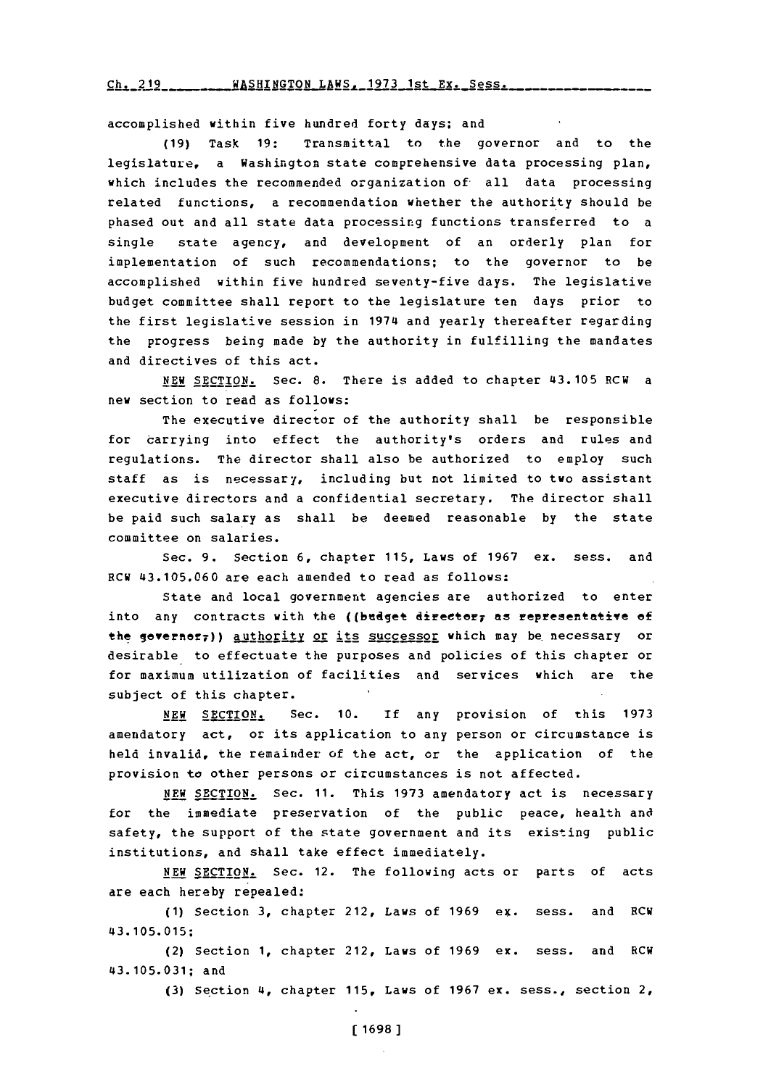Ch. 219 \_\_\_\_\_\_\_ WASHINGTON LAWS, 1973 1st Ex. Sess.

accomplished within five hundred forty days; and

**(19)** Task **19:** Transmittal to the governor and to the legislature, a Washington state comprehensive data processing plan, which includes the recommended organization of all data processing related functions, a recommendation whether the authority should be phased out and all state data processing functions transferred to a single state agency, and development of an orderly plan for implementation of such recommendations; to the governor to be accomplished within five hundred seventy-five days. The legislative budget committee shall report to the legislature ten days prior to the first legislative session in 1974 and yearly thereafter regarding the progress being made **by** the authority in fulfilling the mandates and directives of this act.

NEW SECTION. Sec. 8. There is added to chapter 43.105 RCW a new section to read as follows:

The executive director of the authority shall be responsible for carrying into effect the authority's orders and rules and regulations. The director shall also be authorized to employ such staff as is necessary, including but not limited to two assistant executive directors and a confidential secretary. The director shall be paid such salary as shall be deemed reasonable **by** the state committee on salaries.

Sec. **9.** Section **6,** chapter **115,** Laws of **1967** ex. sess. and RCW **43.105.060** are each amended to read as follows:

State and local government agencies are authorized to enter into any contracts with the ((bedjet direetery as representative **of** the governor7)) authority or its successor which may be necessary or desirable to effectuate the purposes and policies of this chapter or for maximum utilization of facilities and services which are the subject of this chapter.

**NEW SECTION.** Sec. **10.** If any provision of this **1973** amendatory act, or its application to any person or circumstance is held invalid, the remainder of the act, or the application of the provision to other persons or circumstances is not affected.

**NEW** SECTION. Sec. **11.** This **1973** amendatory act is necessary for the immediate preservation of the public peace, health and safety, the support of the state government and its existing public institutions, and shall take effect immediately.

**NEW** SECTION. Sec. 12. The following acts or parts of acts are each hereby repealed:

**(1)** Section **3,** chapter 212, Laws of **1969** ex. sess. and RCW **43. 105. 015;**

(2) Section **1,** chapter 212, Laws of **1969** ex. sess. and RCW **43.105.031; and**

**(3)** Section 4, chapter **115,** Laws of **1967** ex. sess., section 2,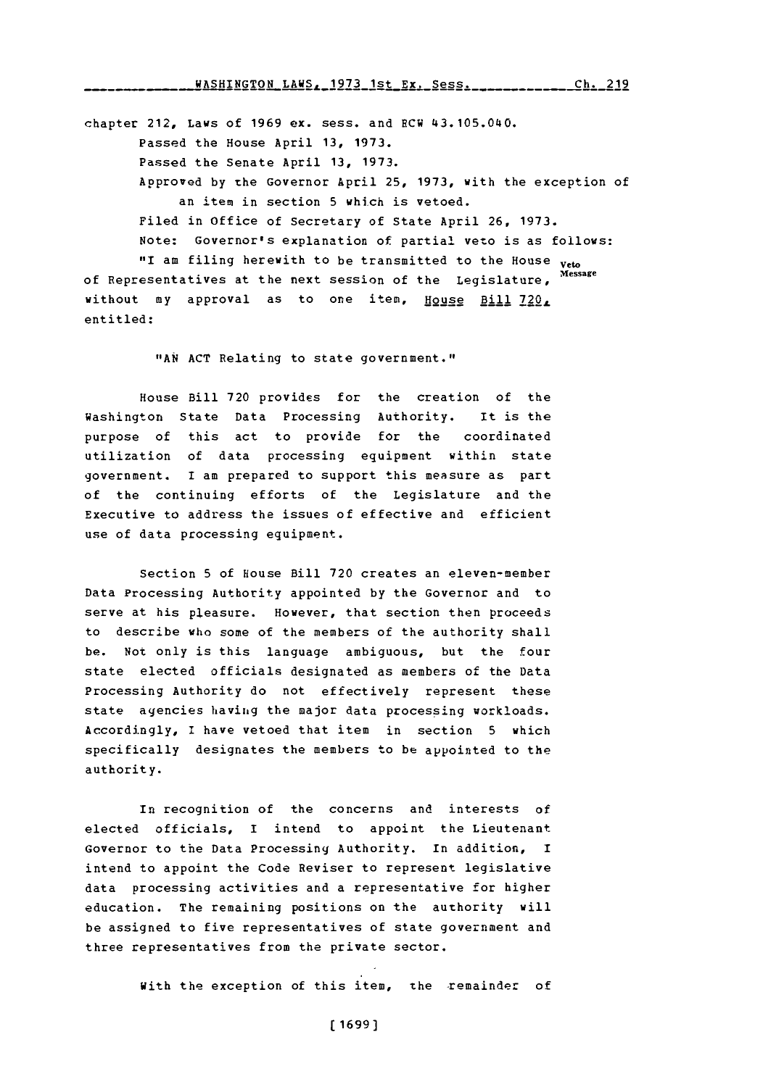chapter 212, Laws of **1969** ex. sess. and RCW 43.105.040. Passed the House April **13, 1973.** Passed the Senate April **13, 1973.** Approved by the Governor April 25, 1973, with the exception of an item in section **5** which is vetoed. Filed in office of Secretary of State April **26, 1973.** Note: Governor's explanation of partial veto is as follows: "I am filing herewith to be transmitted to the House veto of Representatives at the next session of the Legislature, **Message** without my approval as to one item, House Bill 720, entitled:

" **AN ACT** Relating to state government."

House Bill **720** provides for the creation of the Washington State Data Processing Authority. It is the purpose of this act to provide for the coordinated utilization of data processing equipment within state government. **I** am prepared to support this measure as part of the continuing efforts of the Legislature and the Executive **to** address the issues of effective and efficient use of data processing equipment.

Section **5** of House Bill **720** creates an eleven-member Data Processing Authority appointed **by** the Governor and to serve at his pleasure. However, that section then proceeds to describe who some of the members of the authority shall be. Not only is this language ambiguous, but the four state elected officials designated as members of the Data Processing Authority do not effectively represent these state agencies having the major data processing workloads. Accordingly, **I** have vetoed that item in section **5** which specifically designates the members to be appointed to the authority.

In recognition of the concerns and interests of elected officials, **I** intend to appoint the Lieutenant Governor to the Data Processing Authority. In addition, I intend to appoint the Code Reviser to represent legislative data processing activities and a representative for higher education. The remaining positions on the authority will be assigned to five representatives of state government and three representatives from the private sector.

With the exception of this item, the remainder of